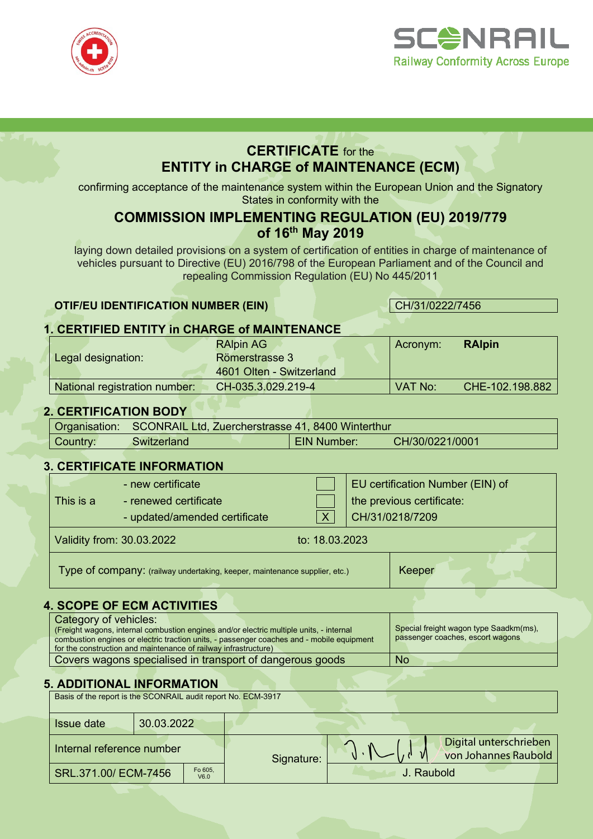



# **CERTIFICATE** for the **ENTITY in CHARGE of MAINTENANCE (ECM)**

confirming acceptance of the maintenance system within the European Union and the Signatory States in conformity with the

# **COMMISSION IMPLEMENTING REGULATION (EU) 2019/779 of 16th May 2019**

laying down detailed provisions on a system of certification of entities in charge of maintenance of vehicles pursuant to Directive (EU) 2016/798 of the European Parliament and of the Council and repealing Commission Regulation (EU) No 445/2011

### **OTIF/EU IDENTIFICATION NUMBER (EIN)** CH/31/0222/7456

### **1. CERTIFIED ENTITY in CHARGE of MAINTENANCE**

|                               | <b>RAIpin AG</b>         | Acronym: | <b>RAIpin</b>   |
|-------------------------------|--------------------------|----------|-----------------|
| Legal designation:            | Römerstrasse 3           |          |                 |
|                               | 4601 Olten - Switzerland |          |                 |
| National registration number: | CH-035.3.029.219-4       | VAT No:  | CHE-102.198.882 |

## **2. CERTIFICATION BODY**

|          | Organisation: SCONRAIL Ltd, Zuercherstrasse 41, 8400 Winterthur |                    |                 |
|----------|-----------------------------------------------------------------|--------------------|-----------------|
| Country: | Switzerland                                                     | <b>EIN Number:</b> | CH/30/0221/0001 |

### **3. CERTIFICATE INFORMATION**

| This is a | - new certificate<br>- renewed certificate<br>- updated/amended certificate |                | EU certification Number (EIN) of<br>the previous certificate:<br>CH/31/0218/7209 |
|-----------|-----------------------------------------------------------------------------|----------------|----------------------------------------------------------------------------------|
|           | Validity from: 30.03.2022                                                   | to: 18.03.2023 |                                                                                  |
|           | Type of company: (railway undertaking, keeper, maintenance supplier, etc.)  |                | Keeper                                                                           |

## **4. SCOPE OF ECM ACTIVITIES**

| Category of vehicles:                                                                     |                                        |
|-------------------------------------------------------------------------------------------|----------------------------------------|
| (Freight wagons, internal combustion engines and/or electric multiple units, - internal   | Special freight wagon type Saadkm(ms), |
| combustion engines or electric traction units, - passenger coaches and - mobile equipment | passenger coaches, escort wagons       |
| for the construction and maintenance of railway infrastructure)                           |                                        |
| Covers wagons specialised in transport of dangerous goods                                 | <b>No</b>                              |

### **5. ADDITIONAL INFORMATION**

| Basis of the report is the SCONRAIL audit report No. ECM-3917 |            |                 |  |                                                |  |
|---------------------------------------------------------------|------------|-----------------|--|------------------------------------------------|--|
| <b>Issue date</b>                                             | 30.03.2022 |                 |  |                                                |  |
| Internal reference number                                     |            | Signature:      |  | Digital unterschrieben<br>von Johannes Raubold |  |
| SRL.371.00/ ECM-7456                                          |            | Fo 605,<br>V6.0 |  | J. Raubold                                     |  |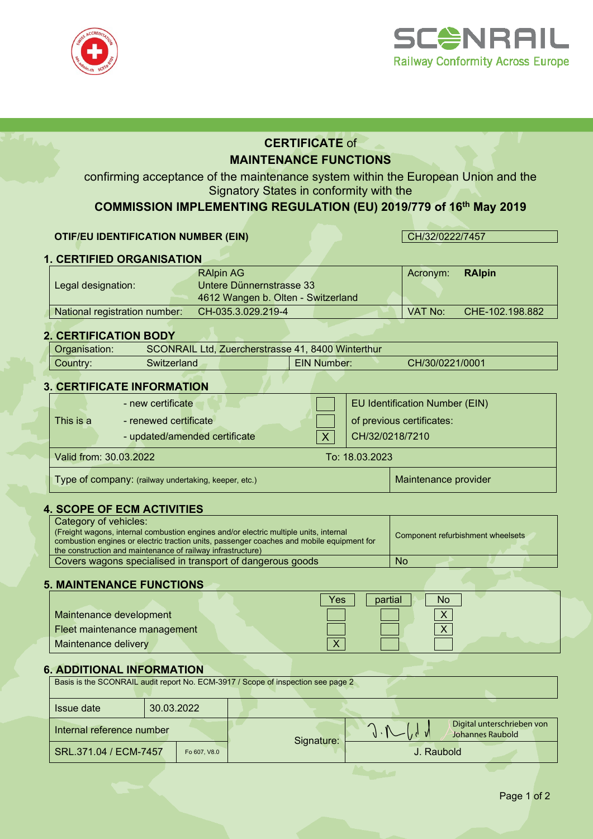



# **CERTIFICATE** of **MAINTENANCE FUNCTIONS**

confirming acceptance of the maintenance system within the European Union and the Signatory States in conformity with the

# **COMMISSION IMPLEMENTING REGULATION (EU) 2019/779 of 16th May 2019**

#### **OTIF/EU IDENTIFICATION NUMBER (EIN)** CH/32/0222/7457

# **1. CERTIFIED ORGANISATION**

|                               | <b>RAIpin AG</b>                   | Acronym: | <b>RAIpin</b>   |
|-------------------------------|------------------------------------|----------|-----------------|
| Legal designation:            | Untere Dünnernstrasse 33           |          |                 |
|                               | 4612 Wangen b. Olten - Switzerland |          |                 |
| National registration number: | CH-035.3.029.219-4                 | VAT No:  | CHE-102.198.882 |

### **2. CERTIFICATION BODY**

| Organisation: |              | SCONRAIL Ltd, Zuercherstrasse 41, 8400 Winterthur |                 |
|---------------|--------------|---------------------------------------------------|-----------------|
| Country:      | Switzerland: | <b>EIN Number:</b>                                | CH/30/0221/0001 |
|               |              |                                                   |                 |

#### **3. CERTIFICATE INFORMATION**

|                                                      | - new certificate             |  |                | EU Identification Number (EIN) |
|------------------------------------------------------|-------------------------------|--|----------------|--------------------------------|
| This is a                                            | - renewed certificate         |  |                | of previous certificates:      |
|                                                      | - updated/amended certificate |  |                | CH/32/0218/7210                |
| Valid from: 30.03.2022                               |                               |  | To: 18.03.2023 |                                |
| Type of company: (railway undertaking, keeper, etc.) |                               |  |                | Maintenance provider           |

#### **4. SCOPE OF ECM ACTIVITIES**

| Category of vehicles:                                                                     |                                   |
|-------------------------------------------------------------------------------------------|-----------------------------------|
| (Freight wagons, internal combustion engines and/or electric multiple units, internal     | Component refurbishment wheelsets |
| combustion engines or electric traction units, passenger coaches and mobile equipment for |                                   |
| the construction and maintenance of railway infrastructure)                               |                                   |
| Covers wagons specialised in transport of dangerous goods                                 | No                                |

### **5. MAINTENANCE FUNCTIONS**

|                              | Yes<br>partial<br>No. |
|------------------------------|-----------------------|
| Maintenance development      |                       |
| Fleet maintenance management |                       |
| Maintenance delivery         |                       |

#### **6. ADDITIONAL INFORMATION**

|                           |              | Basis is the SCONRAIL audit report No. ECM-3917 / Scope of inspection see page 2 |                                                |
|---------------------------|--------------|----------------------------------------------------------------------------------|------------------------------------------------|
| <b>Issue date</b>         | 30.03.2022   |                                                                                  |                                                |
| Internal reference number |              | Signature:                                                                       | Digital unterschrieben von<br>Johannes Raubold |
| SRL.371.04 / ECM-7457     | Fo 607, V8.0 |                                                                                  | J. Raubold                                     |